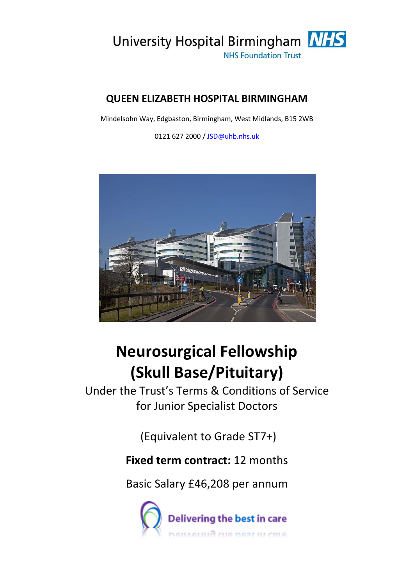

### **QUEEN ELIZABETH HOSPITAL BIRMINGHAM**

Mindelsohn Way, Edgbaston, Birmingham, West Midlands, B15 2WB

0121 627 2000 / [JSD@uhb.nhs.uk](mailto:JSD@uhb.nhs.uk)



# **Neurosurgical Fellowship (Skull Base/Pituitary)**

Under the Trust's Terms & Conditions of Service for Junior Specialist Doctors

(Equivalent to Grade ST7+)

## **Fixed term contract:** 12 months

Basic Salary £46,208 per annum

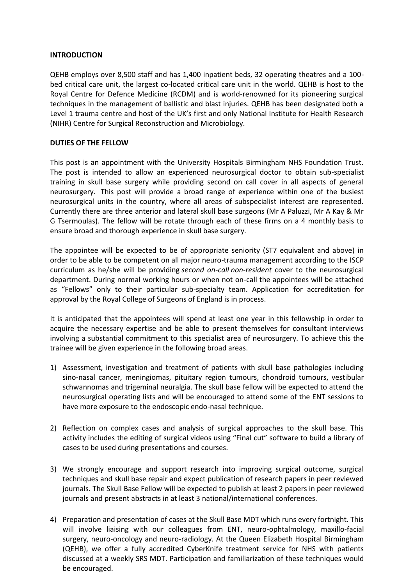#### **INTRODUCTION**

QEHB employs over 8,500 staff and has 1,400 inpatient beds, 32 operating theatres and a 100 bed critical care unit, the largest co-located critical care unit in the world. QEHB is host to the Royal Centre for Defence Medicine (RCDM) and is world-renowned for its pioneering surgical techniques in the management of ballistic and blast injuries. QEHB has been designated both a Level 1 trauma centre and host of the UK's first and only National Institute for Health Research (NIHR) Centre for Surgical Reconstruction and Microbiology.

#### **DUTIES OF THE FELLOW**

This post is an appointment with the University Hospitals Birmingham NHS Foundation Trust. The post is intended to allow an experienced neurosurgical doctor to obtain sub-specialist training in skull base surgery while providing second on call cover in all aspects of general neurosurgery. This post will provide a broad range of experience within one of the busiest neurosurgical units in the country, where all areas of subspecialist interest are represented. Currently there are three anterior and lateral skull base surgeons (Mr A Paluzzi, Mr A Kay & Mr G Tsermoulas). The fellow will be rotate through each of these firms on a 4 monthly basis to ensure broad and thorough experience in skull base surgery.

The appointee will be expected to be of appropriate seniority (ST7 equivalent and above) in order to be able to be competent on all major neuro-trauma management according to the ISCP curriculum as he/she will be providing *second on-call non-resident* cover to the neurosurgical department. During normal working hours or when not on-call the appointees will be attached as "Fellows" only to their particular sub-specialty team. Application for accreditation for approval by the Royal College of Surgeons of England is in process.

It is anticipated that the appointees will spend at least one year in this fellowship in order to acquire the necessary expertise and be able to present themselves for consultant interviews involving a substantial commitment to this specialist area of neurosurgery. To achieve this the trainee will be given experience in the following broad areas.

- 1) Assessment, investigation and treatment of patients with skull base pathologies including sino-nasal cancer, meningiomas, pituitary region tumours, chondroid tumours, vestibular schwannomas and trigeminal neuralgia. The skull base fellow will be expected to attend the neurosurgical operating lists and will be encouraged to attend some of the ENT sessions to have more exposure to the endoscopic endo-nasal technique.
- 2) Reflection on complex cases and analysis of surgical approaches to the skull base. This activity includes the editing of surgical videos using "Final cut" software to build a library of cases to be used during presentations and courses.
- 3) We strongly encourage and support research into improving surgical outcome, surgical techniques and skull base repair and expect publication of research papers in peer reviewed journals. The Skull Base Fellow will be expected to publish at least 2 papers in peer reviewed journals and present abstracts in at least 3 national/international conferences.
- 4) Preparation and presentation of cases at the Skull Base MDT which runs every fortnight. This will involve liaising with our colleagues from ENT, neuro-ophtalmology, maxillo-facial surgery, neuro-oncology and neuro-radiology. At the Queen Elizabeth Hospital Birmingham (QEHB), we offer a fully accredited CyberKnife treatment service for NHS with patients discussed at a weekly SRS MDT. Participation and familiarization of these techniques would be encouraged.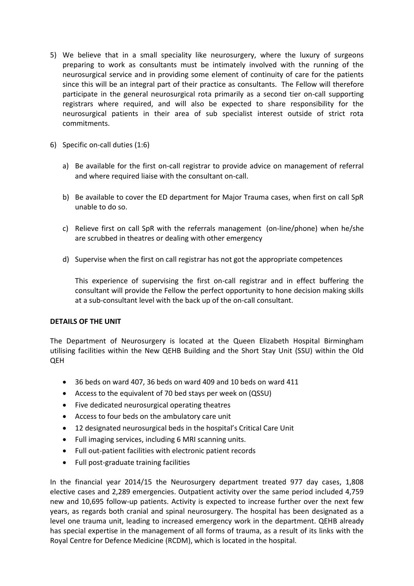- 5) We believe that in a small speciality like neurosurgery, where the luxury of surgeons preparing to work as consultants must be intimately involved with the running of the neurosurgical service and in providing some element of continuity of care for the patients since this will be an integral part of their practice as consultants. The Fellow will therefore participate in the general neurosurgical rota primarily as a second tier on-call supporting registrars where required, and will also be expected to share responsibility for the neurosurgical patients in their area of sub specialist interest outside of strict rota commitments.
- 6) Specific on-call duties (1:6)
	- a) Be available for the first on-call registrar to provide advice on management of referral and where required liaise with the consultant on-call.
	- b) Be available to cover the ED department for Major Trauma cases, when first on call SpR unable to do so.
	- c) Relieve first on call SpR with the referrals management (on-line/phone) when he/she are scrubbed in theatres or dealing with other emergency
	- d) Supervise when the first on call registrar has not got the appropriate competences

This experience of supervising the first on-call registrar and in effect buffering the consultant will provide the Fellow the perfect opportunity to hone decision making skills at a sub-consultant level with the back up of the on-call consultant.

#### **DETAILS OF THE UNIT**

The Department of Neurosurgery is located at the Queen Elizabeth Hospital Birmingham utilising facilities within the New QEHB Building and the Short Stay Unit (SSU) within the Old QEH

- 36 beds on ward 407, 36 beds on ward 409 and 10 beds on ward 411
- Access to the equivalent of 70 bed stays per week on (QSSU)
- Five dedicated neurosurgical operating theatres
- Access to four beds on the ambulatory care unit
- 12 designated neurosurgical beds in the hospital's Critical Care Unit
- Full imaging services, including 6 MRI scanning units.
- Full out-patient facilities with electronic patient records
- Full post-graduate training facilities

In the financial year 2014/15 the Neurosurgery department treated 977 day cases, 1,808 elective cases and 2,289 emergencies. Outpatient activity over the same period included 4,759 new and 10,695 follow-up patients. Activity is expected to increase further over the next few years, as regards both cranial and spinal neurosurgery. The hospital has been designated as a level one trauma unit, leading to increased emergency work in the department. QEHB already has special expertise in the management of all forms of trauma, as a result of its links with the Royal Centre for Defence Medicine (RCDM), which is located in the hospital.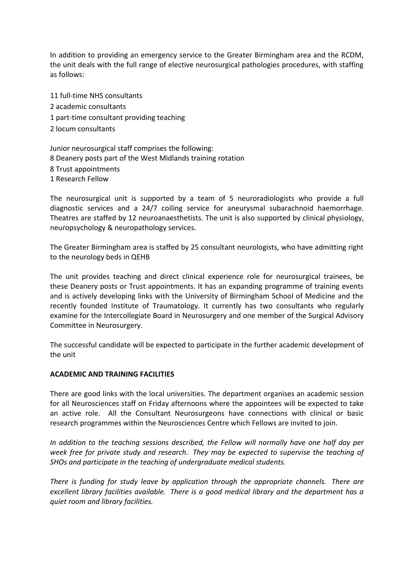In addition to providing an emergency service to the Greater Birmingham area and the RCDM, the unit deals with the full range of elective neurosurgical pathologies procedures, with staffing as follows:

11 full-time NHS consultants 2 academic consultants 1 part-time consultant providing teaching 2 locum consultants

Junior neurosurgical staff comprises the following: 8 Deanery posts part of the West Midlands training rotation 8 Trust appointments 1 Research Fellow

The neurosurgical unit is supported by a team of 5 neuroradiologists who provide a full diagnostic services and a 24/7 coiling service for aneurysmal subarachnoid haemorrhage. Theatres are staffed by 12 neuroanaesthetists. The unit is also supported by clinical physiology, neuropsychology & neuropathology services.

The Greater Birmingham area is staffed by 25 consultant neurologists, who have admitting right to the neurology beds in QEHB

The unit provides teaching and direct clinical experience role for neurosurgical trainees, be these Deanery posts or Trust appointments. It has an expanding programme of training events and is actively developing links with the University of Birmingham School of Medicine and the recently founded Institute of Traumatology. It currently has two consultants who regularly examine for the Intercollegiate Board in Neurosurgery and one member of the Surgical Advisory Committee in Neurosurgery.

The successful candidate will be expected to participate in the further academic development of the unit

#### **ACADEMIC AND TRAINING FACILITIES**

There are good links with the local universities. The department organises an academic session for all Neurosciences staff on Friday afternoons where the appointees will be expected to take an active role. All the Consultant Neurosurgeons have connections with clinical or basic research programmes within the Neurosciences Centre which Fellows are invited to join.

*In addition to the teaching sessions described, the Fellow will normally have one half day per week free for private study and research. They may be expected to supervise the teaching of SHOs and participate in the teaching of undergraduate medical students.*

*There is funding for study leave by application through the appropriate channels. There are excellent library facilities available. There is a good medical library and the department has a quiet room and library facilities.*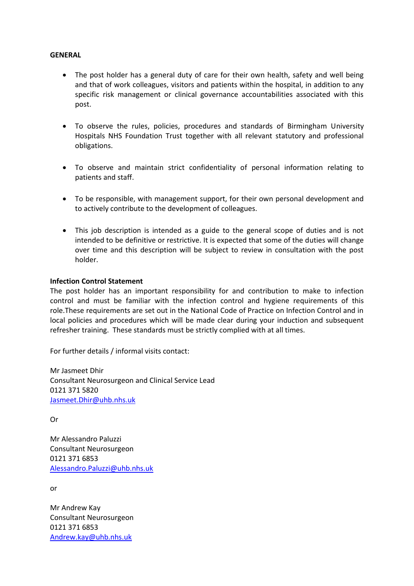#### **GENERAL**

- The post holder has a general duty of care for their own health, safety and well being and that of work colleagues, visitors and patients within the hospital, in addition to any specific risk management or clinical governance accountabilities associated with this post.
- To observe the rules, policies, procedures and standards of Birmingham University Hospitals NHS Foundation Trust together with all relevant statutory and professional obligations.
- To observe and maintain strict confidentiality of personal information relating to patients and staff.
- To be responsible, with management support, for their own personal development and to actively contribute to the development of colleagues.
- This job description is intended as a guide to the general scope of duties and is not intended to be definitive or restrictive. It is expected that some of the duties will change over time and this description will be subject to review in consultation with the post holder.

#### **Infection Control Statement**

The post holder has an important responsibility for and contribution to make to infection control and must be familiar with the infection control and hygiene requirements of this role.These requirements are set out in the National Code of Practice on Infection Control and in local policies and procedures which will be made clear during your induction and subsequent refresher training. These standards must be strictly complied with at all times.

For further details / informal visits contact:

Mr Jasmeet Dhir Consultant Neurosurgeon and Clinical Service Lead 0121 371 5820 [Jasmeet.Dhir@uhb.nhs.uk](mailto:Jasmeet.Dhir@uhb.nhs.uk)

Or

Mr Alessandro Paluzzi Consultant Neurosurgeon 0121 371 6853 [Alessandro.Paluzzi@uhb.nhs.uk](mailto:Alessandro.Paluzzi@uhb.nhs.uk)

or

Mr Andrew Kay Consultant Neurosurgeon 0121 371 6853 [Andrew.kay@uhb.nhs.uk](mailto:Andrew.kay@uhb.nhs.uk)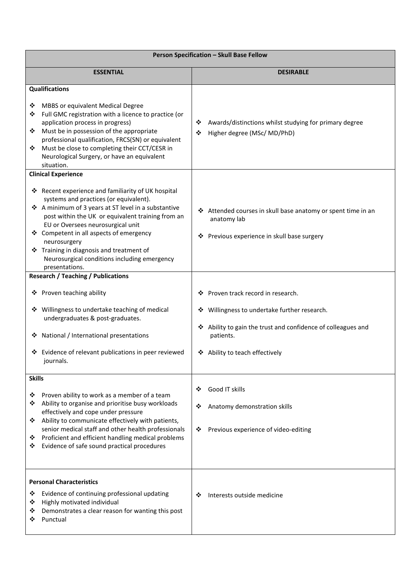| Person Specification - Skull Base Fellow                                                                                                                                                                                                                                                                                                                                                                                                              |                                                                                                                                                                                                                                                               |
|-------------------------------------------------------------------------------------------------------------------------------------------------------------------------------------------------------------------------------------------------------------------------------------------------------------------------------------------------------------------------------------------------------------------------------------------------------|---------------------------------------------------------------------------------------------------------------------------------------------------------------------------------------------------------------------------------------------------------------|
| <b>ESSENTIAL</b>                                                                                                                                                                                                                                                                                                                                                                                                                                      | <b>DESIRABLE</b>                                                                                                                                                                                                                                              |
| <b>Qualifications</b><br>MBBS or equivalent Medical Degree<br>❖<br>Full GMC registration with a licence to practice (or<br>❖<br>application process in progress)<br>Must be in possession of the appropriate<br>❖<br>professional qualification, FRCS(SN) or equivalent<br>Must be close to completing their CCT/CESR in<br>❖<br>Neurological Surgery, or have an equivalent<br>situation.                                                            | Awards/distinctions whilst studying for primary degree<br>❖<br>Higher degree (MSc/ MD/PhD)<br>❖                                                                                                                                                               |
| <b>Clinical Experience</b><br>Recent experience and familiarity of UK hospital<br>❖<br>systems and practices (or equivalent).<br>❖ A minimum of 3 years at ST level in a substantive<br>post within the UK or equivalent training from an<br>EU or Oversees neurosurgical unit<br>❖ Competent in all aspects of emergency<br>neurosurgery<br>Training in diagnosis and treatment of<br>Neurosurgical conditions including emergency<br>presentations. | ❖ Attended courses in skull base anatomy or spent time in an<br>anatomy lab<br>Previous experience in skull base surgery<br>❖                                                                                                                                 |
| <b>Research / Teaching / Publications</b><br>❖ Proven teaching ability<br>Willingness to undertake teaching of medical<br>❖<br>undergraduates & post-graduates.<br>National / International presentations<br>❖<br>Evidence of relevant publications in peer reviewed<br>❖<br>journals.<br><b>Skills</b><br>Proven ability to work as a member of a team<br>❖<br>Ability to organise and prioritise busy workloads<br>❖                                | ❖ Proven track record in research.<br>❖ Willingness to undertake further research.<br>❖ Ability to gain the trust and confidence of colleagues and<br>patients.<br>❖ Ability to teach effectively<br>Good IT skills<br>❖<br>❖<br>Anatomy demonstration skills |
| effectively and cope under pressure<br>Ability to communicate effectively with patients,<br>❖<br>senior medical staff and other health professionals<br>Proficient and efficient handling medical problems<br>❖<br>Evidence of safe sound practical procedures<br>❖<br><b>Personal Characteristics</b>                                                                                                                                                | Previous experience of video-editing<br>❖                                                                                                                                                                                                                     |
| Evidence of continuing professional updating<br>❖<br>Highly motivated individual<br>❖<br>Demonstrates a clear reason for wanting this post<br>❖<br>Punctual<br>❖                                                                                                                                                                                                                                                                                      | Interests outside medicine<br>❖                                                                                                                                                                                                                               |